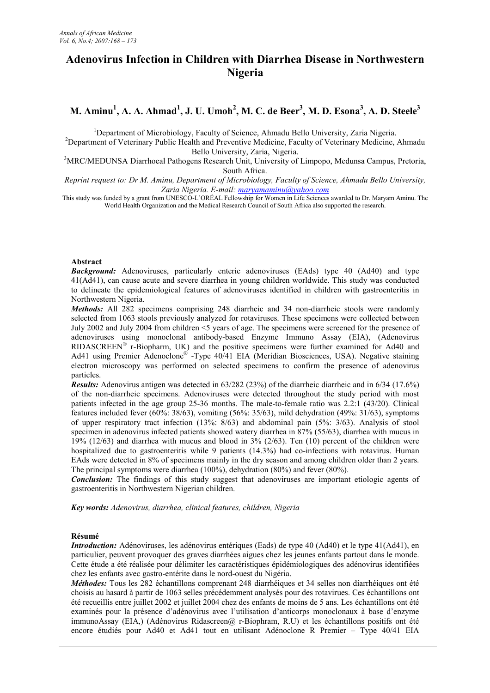# **Adenovirus Infection in Children with Diarrhea Disease in Northwestern Nigeria**

# M. Aminu $^1$ , A. A. Ahmad $^1$ , J. U. Umoh $^2$ , M. C. de Beer $^3$ , M. D. Esona $^3$ , A. D. Steele $^3$

<sup>1</sup>Department of Microbiology, Faculty of Science, Ahmadu Bello University, Zaria Nigeria.

<sup>2</sup>Department of Veterinary Public Health and Preventive Medicine, Faculty of Veterinary Medicine, Ahmadu Bello University, Zaria, Nigeria.

<sup>3</sup>MRC/MEDUNSA Diarrhoeal Pathogens Research Unit, University of Limpopo, Medunsa Campus, Pretoria, South Africa.

*Reprint request to: Dr M. Aminu, Department of Microbiology, Faculty of Science, Ahmadu Bello University, Zaria Nigeria. E-mail: maryamaminu@yahoo.com*

This study was funded by a grant from UNESCO-L'ORÉAL Fellowship for Women in Life Sciences awarded to Dr. Maryam Aminu. The World Health Organization and the Medical Research Council of South Africa also supported the research.

## **Abstract**

*Background:* Adenoviruses, particularly enteric adenoviruses (EAds) type 40 (Ad40) and type 41(Ad41), can cause acute and severe diarrhea in young children worldwide. This study was conducted to delineate the epidemiological features of adenoviruses identified in children with gastroenteritis in Northwestern Nigeria.

*Methods:* All 282 specimens comprising 248 diarrheic and 34 non-diarrheic stools were randomly selected from 1063 stools previously analyzed for rotaviruses. These specimens were collected between July 2002 and July 2004 from children <5 years of age. The specimens were screened for the presence of adenoviruses using monoclonal antibody-based Enzyme Immuno Assay (EIA), (Adenovirus RIDASCREEN® r-Biopharm, UK) and the positive specimens were further examined for Ad40 and Ad41 using Premier Adenoclone® -Type 40/41 EIA (Meridian Biosciences, USA). Negative staining electron microscopy was performed on selected specimens to confirm the presence of adenovirus particles.

*Results:* Adenovirus antigen was detected in 63/282 (23%) of the diarrheic diarrheic and in 6/34 (17.6%) of the non-diarrheic specimens. Adenoviruses were detected throughout the study period with most patients infected in the age group 25-36 months. The male-to-female ratio was 2.2:1 (43/20). Clinical features included fever (60%: 38/63), vomiting (56%: 35/63), mild dehydration (49%: 31/63), symptoms of upper respiratory tract infection (13%: 8/63) and abdominal pain (5%: 3/63). Analysis of stool specimen in adenovirus infected patients showed watery diarrhea in 87% (55/63), diarrhea with mucus in 19% (12/63) and diarrhea with mucus and blood in 3% (2/63). Ten (10) percent of the children were hospitalized due to gastroenteritis while 9 patients (14.3%) had co-infections with rotavirus. Human EAds were detected in 8% of specimens mainly in the dry season and among children older than 2 years. The principal symptoms were diarrhea (100%), dehydration (80%) and fever (80%).

**Conclusion:** The findings of this study suggest that adenoviruses are important etiologic agents of gastroenteritis in Northwestern Nigerian children.

*Key words: Adenovirus, diarrhea, clinical features, children, Nigeria*

## **Résumé**

*Introduction:* Adénoviruses, les adénovirus entériques (Eads) de type 40 (Ad40) et le type 41(Ad41), en particulier, peuvent provoquer des graves diarrhées aigues chez les jeunes enfants partout dans le monde. Cette étude a été réalisée pour délimiter les caractéristiques épidémiologiques des adénovirus identifiées chez les enfants avec gastro-entérite dans le nord-ouest du Nigéria.

*Méthodes:* Tous les 282 échantillons comprenant 248 diarrhéiques et 34 selles non diarrhéiques ont été choisis au hasard à partir de 1063 selles précédemment analysés pour des rotavirues. Ces échantillons ont été recueillis entre juillet 2002 et juillet 2004 chez des enfants de moins de 5 ans. Les échantillons ont été examinés pour la présence d'adénovirus avec l'utilisation d'anticorps monoclonaux à base d'enzyme immunoAssay (EIA,) (Adénovirus Ridascreen@ r-Biophram, R.U) et les échantillons positifs ont été encore étudiés pour Ad40 et Ad41 tout en utilisant Adénoclone R Premier – Type 40/41 EIA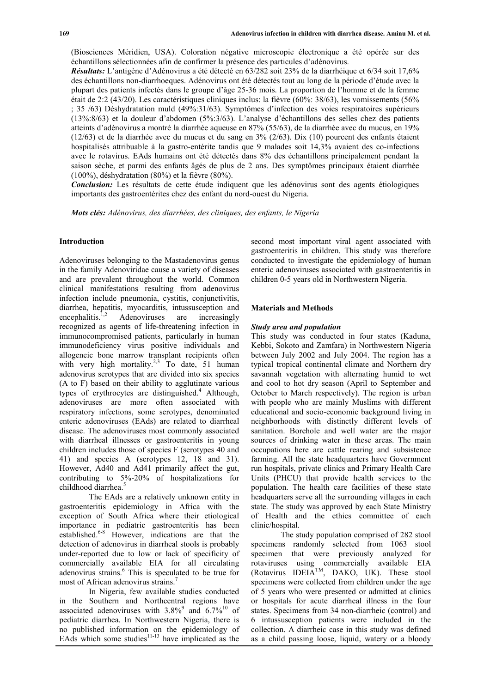(Biosciences Méridien, USA). Coloration négative microscopie électronique a été opérée sur des échantillons sélectionnées afin de confirmer la présence des particules d'adénovirus.

*Résultats:* L'antigène d'Adénovirus a été détecté en 63/282 soit 23% de la diarrhéique et 6/34 soit 17,6% des échantillons non-diarrhoeques. Adénovirus ont été détectés tout au long de la période d'étude avec la plupart des patients infectés dans le groupe d'âge 25-36 mois. La proportion de l'homme et de la femme était de 2:2 (43/20). Les caractéristiques cliniques inclus: la fièvre (60%: 38/63), les vomissements (56% ; 35 /63) Déshydratation muld (49%:31/63). Symptômes d'infection des voies respiratoires supérieurs (13%:8/63) et la douleur d'abdomen (5%:3/63). L'analyse d'échantillons des selles chez des patients atteints d'adénovirus a montré la diarrhée aqueuse en 87% (55/63), de la diarrhée avec du mucus, en 19% (12/63) et de la diarrhée avec du mucus et du sang en 3% (2/63). Dix (10) pourcent des enfants étaient hospitalisés attribuable à la gastro-entérite tandis que 9 malades soit 14,3% avaient des co-infections avec le rotavirus. EAds humains ont été détectés dans 8% des échantillons principalement pendant la saison sèche, et parmi des enfants âgés de plus de 2 ans. Des symptômes principaux étaient diarrhée (100%), déshydratation (80%) et la fièvre (80%).

*Conclusion:* Les résultats de cette étude indiquent que les adénovirus sont des agents étiologiques importants des gastroentérites chez des enfant du nord-ouest du Nigeria.

*Mots clés: Adénovirus, des diarrhées, des cliniques, des enfants, le Nigeria*

#### **Introduction**

Adenoviruses belonging to the Mastadenovirus genus in the family Adenoviridae cause a variety of diseases and are prevalent throughout the world. Common clinical manifestations resulting from adenovirus infection include pneumonia, cystitis, conjunctivitis, diarrhea, hepatitis, myocarditis, intussusception and encephalitis.<sup>1,2</sup> Adenoviruses are increasingly recognized as agents of life-threatening infection in immunocompromised patients, particularly in human immunodeficiency virus positive individuals and allogeneic bone marrow transplant recipients often with very high mortality.<sup>2,3</sup> To date, 51 human adenovirus serotypes that are divided into six species (A to F) based on their ability to agglutinate various types of erythrocytes are distinguished.<sup>4</sup> Although, adenoviruses are more often associated with respiratory infections, some serotypes, denominated enteric adenoviruses (EAds) are related to diarrheal disease. The adenoviruses most commonly associated with diarrheal illnesses or gastroenteritis in young children includes those of species F (serotypes 40 and 41) and species A (serotypes 12, 18 and 31). However, Ad40 and Ad41 primarily affect the gut, contributing to 5%-20% of hospitalizations for childhood diarrhea.<sup>5</sup>

The EAds are a relatively unknown entity in gastroenteritis epidemiology in Africa with the exception of South Africa where their etiological importance in pediatric gastroenteritis has been established.6-8 However, indications are that the detection of adenovirus in diarrheal stools is probably under-reported due to low or lack of specificity of commercially available EIA for all circulating adenovirus strains. $<sup>6</sup>$  This is speculated to be true for</sup> most of African adenovirus strains.<sup>7</sup>

In Nigeria, few available studies conducted in the Southern and Northcentral regions have associated adenoviruses with  $3.8\%$ <sup>9</sup> and  $6.7\%$ <sup>10</sup> of pediatric diarrhea. In Northwestern Nigeria, there is no published information on the epidemiology of EAds which some studies $11-13$  have implicated as the second most important viral agent associated with gastroenteritis in children. This study was therefore conducted to investigate the epidemiology of human enteric adenoviruses associated with gastroenteritis in children 0-5 years old in Northwestern Nigeria.

#### **Materials and Methods**

#### *Study area and population*

This study was conducted in four states (Kaduna, Kebbi, Sokoto and Zamfara) in Northwestern Nigeria between July 2002 and July 2004. The region has a typical tropical continental climate and Northern dry savannah vegetation with alternating humid to wet and cool to hot dry season (April to September and October to March respectively). The region is urban with people who are mainly Muslims with different educational and socio-economic background living in neighborhoods with distinctly different levels of sanitation. Borehole and well water are the major sources of drinking water in these areas. The main occupations here are cattle rearing and subsistence farming. All the state headquarters have Government run hospitals, private clinics and Primary Health Care Units (PHCU) that provide health services to the population. The health care facilities of these state headquarters serve all the surrounding villages in each state. The study was approved by each State Ministry of Health and the ethics committee of each clinic/hospital.

The study population comprised of 282 stool specimens randomly selected from 1063 stool specimen that were previously analyzed for rotaviruses using commercially available EIA (Rotavirus IDEIA<sup>TM</sup>, DAKO, UK). These stool specimens were collected from children under the age of 5 years who were presented or admitted at clinics or hospitals for acute diarrheal illness in the four states. Specimens from 34 non-diarrheic (control) and 6 intussusception patients were included in the collection. A diarrheic case in this study was defined as a child passing loose, liquid, watery or a bloody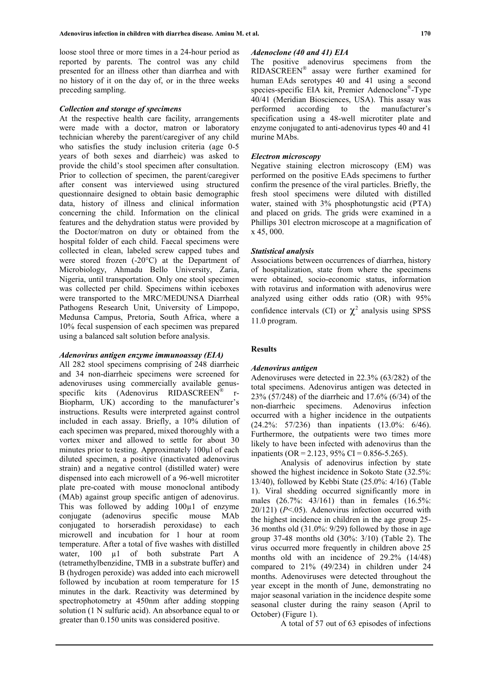loose stool three or more times in a 24-hour period as reported by parents. The control was any child presented for an illness other than diarrhea and with no history of it on the day of, or in the three weeks preceding sampling.

#### *Collection and storage of specimens*

At the respective health care facility, arrangements were made with a doctor, matron or laboratory technician whereby the parent/caregiver of any child who satisfies the study inclusion criteria (age 0-5 years of both sexes and diarrheic) was asked to provide the child's stool specimen after consultation. Prior to collection of specimen, the parent/caregiver after consent was interviewed using structured questionnaire designed to obtain basic demographic data, history of illness and clinical information concerning the child. Information on the clinical features and the dehydration status were provided by the Doctor/matron on duty or obtained from the hospital folder of each child. Faecal specimens were collected in clean, labeled screw capped tubes and were stored frozen (-20°C) at the Department of Microbiology, Ahmadu Bello University, Zaria, Nigeria, until transportation. Only one stool specimen was collected per child. Specimens within iceboxes were transported to the MRC/MEDUNSA Diarrheal Pathogens Research Unit, University of Limpopo, Medunsa Campus, Pretoria, South Africa, where a 10% fecal suspension of each specimen was prepared using a balanced salt solution before analysis.

## *Adenovirus antigen enzyme immunoassay (EIA)*

All 282 stool specimens comprising of 248 diarrheic and 34 non-diarrheic specimens were screened for adenoviruses using commercially available genusspecific kits (Adenovirus RIDASCREEN®  $r-$ Biopharm, UK) according to the manufacturer's instructions. Results were interpreted against control included in each assay. Briefly, a 10% dilution of each specimen was prepared, mixed thoroughly with a vortex mixer and allowed to settle for about 30 minutes prior to testing. Approximately 100µl of each diluted specimen, a positive (inactivated adenovirus strain) and a negative control (distilled water) were dispensed into each microwell of a 96-well microtiter plate pre-coated with mouse monoclonal antibody (MAb) against group specific antigen of adenovirus. This was followed by adding 100µ1 of enzyme conjugate (adenovirus specific mouse MAb conjugated to horseradish peroxidase) to each microwell and incubation for 1 hour at room temperature. After a total of five washes with distilled water, 100 µ1 of both substrate Part A (tetramethylbenzidine, TMB in a substrate buffer) and B (hydrogen peroxide) was added into each microwell followed by incubation at room temperature for 15 minutes in the dark. Reactivity was determined by spectrophotometry at 450nm after adding stopping solution (1 N sulfuric acid). An absorbance equal to or greater than 0.150 units was considered positive.

The positive adenovirus specimens from the RIDASCREEN® assay were further examined for human EAds serotypes 40 and 41 using a second species-specific EIA kit, Premier Adenoclone®-Type 40/41 (Meridian Biosciences, USA). This assay was performed according to the manufacturer's specification using a 48-well microtiter plate and enzyme conjugated to anti-adenovirus types 40 and 41 murine MAbs.

#### *Electron microscopy*

Negative staining electron microscopy (EM) was performed on the positive EAds specimens to further confirm the presence of the viral particles. Briefly, the fresh stool specimens were diluted with distilled water, stained with 3% phosphotungstic acid (PTA) and placed on grids. The grids were examined in a Phillips 301 electron microscope at a magnification of x 45, 000.

### *Statistical analysis*

Associations between occurrences of diarrhea, history of hospitalization, state from where the specimens were obtained, socio-economic status, information with rotavirus and information with adenovirus were analyzed using either odds ratio (OR) with 95% confidence intervals (CI) or  $\chi^2$  analysis using SPSS 11.0 program.

### **Results**

#### *Adenovirus antigen*

Adenoviruses were detected in 22.3% (63/282) of the total specimens. Adenovirus antigen was detected in 23% (57/248) of the diarrheic and 17.6% (6/34) of the non-diarrheic specimens. Adenovirus infection occurred with a higher incidence in the outpatients (24.2%: 57/236) than inpatients (13.0%: 6/46). Furthermore, the outpatients were two times more likely to have been infected with adenovirus than the inpatients (OR = 2.123, 95% CI = 0.856-5.265).

Analysis of adenovirus infection by state showed the highest incidence in Sokoto State (32.5%: 13/40), followed by Kebbi State (25.0%: 4/16) (Table 1). Viral shedding occurred significantly more in males (26.7%: 43/161) than in females (16.5%: 20/121) (*P*<.05). Adenovirus infection occurred with the highest incidence in children in the age group 25- 36 months old (31.0%: 9/29) followed by those in age group 37-48 months old (30%: 3/10) (Table 2). The virus occurred more frequently in children above 25 months old with an incidence of 29.2% (14/48) compared to 21% (49/234) in children under 24 months. Adenoviruses were detected throughout the year except in the month of June, demonstrating no major seasonal variation in the incidence despite some seasonal cluster during the rainy season (April to October) (Figure 1).

A total of 57 out of 63 episodes of infections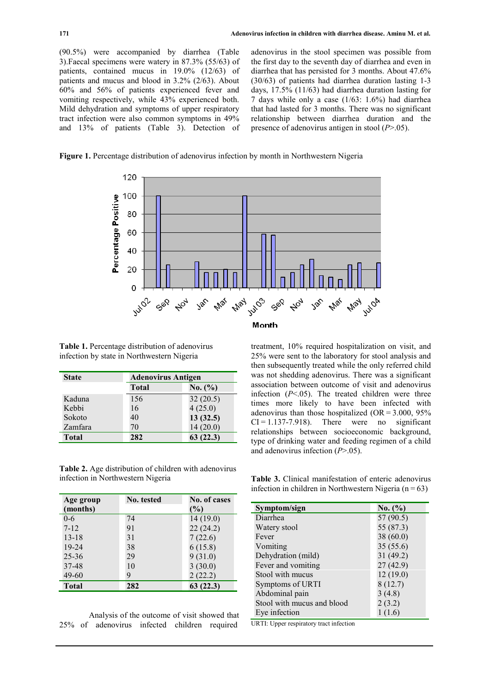(90.5%) were accompanied by diarrhea (Table 3).Faecal specimens were watery in 87.3% (55/63) of patients, contained mucus in 19.0% (12/63) of patients and mucus and blood in 3.2% (2/63). About 60% and 56% of patients experienced fever and vomiting respectively, while 43% experienced both. Mild dehydration and symptoms of upper respiratory tract infection were also common symptoms in 49% and 13% of patients (Table 3). Detection of

adenovirus in the stool specimen was possible from the first day to the seventh day of diarrhea and even in diarrhea that has persisted for 3 months. About 47.6% (30/63) of patients had diarrhea duration lasting 1-3 days, 17.5% (11/63) had diarrhea duration lasting for 7 days while only a case (1/63: 1.6%) had diarrhea that had lasted for 3 months. There was no significant relationship between diarrhea duration and the presence of adenovirus antigen in stool (*P*>.05).





**Table 1.** Percentage distribution of adenovirus infection by state in Northwestern Nigeria

| <b>State</b> | <b>Adenovirus Antigen</b> |          |
|--------------|---------------------------|----------|
|              | <b>Total</b>              | No. (%)  |
| Kaduna       | 156                       | 32(20.5) |
| Kebbi        | 16                        | 4(25.0)  |
| Sokoto       | 40                        | 13(32.5) |
| Zamfara      | 70                        | 14(20.0) |
| <b>Total</b> | 282                       | 63(22.3) |

**Table 2.** Age distribution of children with adenovirus infection in Northwestern Nigeria

| Age group    | No. tested | No. of cases |
|--------------|------------|--------------|
| (months)     |            | (%)          |
| $0 - 6$      | 74         | 14(19.0)     |
| $7 - 12$     | 91         | 22(24.2)     |
| $13 - 18$    | 31         | 7(22.6)      |
| $19 - 24$    | 38         | 6(15.8)      |
| $25 - 36$    | 29         | 9(31.0)      |
| 37-48        | 10         | 3(30.0)      |
| $49 - 60$    | 9          | 2(22.2)      |
| <b>Total</b> | 282        | 63(22.3)     |

Analysis of the outcome of visit showed that 25% of adenovirus infected children required

#### Month

treatment, 10% required hospitalization on visit, and 25% were sent to the laboratory for stool analysis and then subsequently treated while the only referred child was not shedding adenovirus. There was a significant association between outcome of visit and adenovirus infection  $(P<.05)$ . The treated children were three times more likely to have been infected with adenovirus than those hospitalized  $(OR = 3.000, 95\%)$  $CI = 1.137 - 7.918$ . There were no significant relationships between socioeconomic background, type of drinking water and feeding regimen of a child and adenovirus infection (*P*>.05).

**Table 3.** Clinical manifestation of enteric adenovirus infection in children in Northwestern Nigeria ( $n = 63$ )

| Symptom/sign               | No. (%)   |
|----------------------------|-----------|
| Diarrhea                   | 57(90.5)  |
| Watery stool               | 55 (87.3) |
| Fever                      | 38(60.0)  |
| Vomiting                   | 35(55.6)  |
| Dehydration (mild)         | 31(49.2)  |
| Fever and vomiting         | 27(42.9)  |
| Stool with mucus           | 12(19.0)  |
| Symptoms of URTI           | 8(12.7)   |
| Abdominal pain             | 3(4.8)    |
| Stool with mucus and blood | 2(3.2)    |
| Eve infection              | 1(1.6)    |

URTI: Upper respiratory tract infection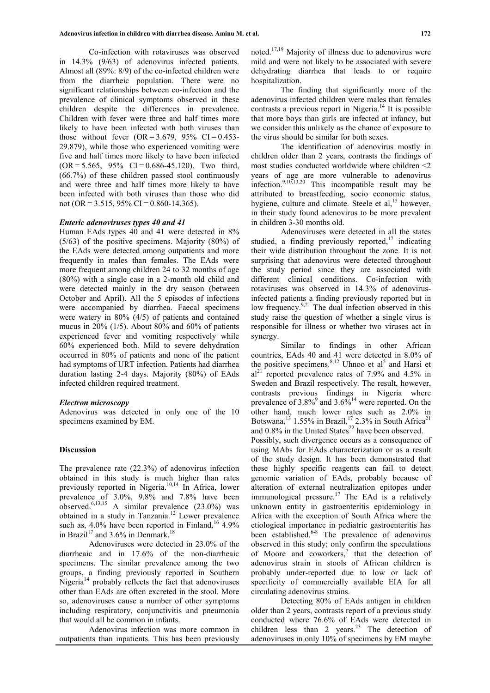Co-infection with rotaviruses was observed in 14.3% (9/63) of adenovirus infected patients. Almost all (89%: 8/9) of the co-infected children were from the diarrheic population. There were no significant relationships between co-infection and the prevalence of clinical symptoms observed in these children despite the differences in prevalence. Children with fever were three and half times more likely to have been infected with both viruses than those without fever  $(OR = 3.679, 95\% \text{ CI} = 0.453$ -29.879), while those who experienced vomiting were five and half times more likely to have been infected  $(OR = 5.565, 95\% \text{ CI} = 0.686-45.120)$ . Two third, (66.7%) of these children passed stool continuously and were three and half times more likely to have been infected with both viruses than those who did not (OR = 3.515, 95% CI = 0.860-14.365).

### *Enteric adenoviruses types 40 and 41*

Human EAds types 40 and 41 were detected in 8% (5/63) of the positive specimens. Majority (80%) of the EAds were detected among outpatients and more frequently in males than females. The EAds were more frequent among children 24 to 32 months of age (80%) with a single case in a 2-month old child and were detected mainly in the dry season (between October and April). All the 5 episodes of infections were accompanied by diarrhea. Faecal specimens were watery in 80% (4/5) of patients and contained mucus in 20% (1/5). About 80% and 60% of patients experienced fever and vomiting respectively while 60% experienced both. Mild to severe dehydration occurred in 80% of patients and none of the patient had symptoms of URT infection. Patients had diarrhea duration lasting 2-4 days. Majority (80%) of EAds infected children required treatment.

#### *Electron microscopy*

Adenovirus was detected in only one of the 10 specimens examined by EM.

#### **Discussion**

The prevalence rate (22.3%) of adenovirus infection obtained in this study is much higher than rates previously reported in Nigeria.<sup>10,14</sup> In Africa, lower prevalence of 3.0%, 9.8% and 7.8% have been observed.<sup>6,13,15</sup> A similar prevalence  $(23.0\%)$  was obtained in a study in Tanzania.<sup>12</sup> Lower prevalence such as,  $4.0\%$  have been reported in Finland,<sup>16</sup> 4.9% in Brazil<sup>17</sup> and 3.6% in Denmark.<sup>18</sup>

Adenoviruses were detected in 23.0% of the diarrheaic and in 17.6% of the non-diarrheaic specimens. The similar prevalence among the two groups, a finding previously reported in Southern Nigeria $14$  probably reflects the fact that adenoviruses other than EAds are often excreted in the stool. More so, adenoviruses cause a number of other symptoms including respiratory, conjunctivitis and pneumonia that would all be common in infants.

Adenovirus infection was more common in outpatients than inpatients. This has been previously noted.17,19 Majority of illness due to adenovirus were mild and were not likely to be associated with severe dehydrating diarrhea that leads to or require hospitalization.

The finding that significantly more of the adenovirus infected children were males than females contrasts a previous report in Nigeria.<sup>14</sup> It is possible that more boys than girls are infected at infancy, but we consider this unlikely as the chance of exposure to the virus should be similar for both sexes.

The identification of adenovirus mostly in children older than 2 years, contrasts the findings of most studies conducted worldwide where children <2 years of age are more vulnerable to adenovirus infection.<sup>9,10,13,20</sup> This incompatible result may be attributed to breastfeeding, socio economic status, hygiene, culture and climate. Steele et al, $^{15}$  however, in their study found adenovirus to be more prevalent in children 3-30 months old.

Adenoviruses were detected in all the states studied, a finding previously reported, $17$  indicating their wide distribution throughout the zone. It is not surprising that adenovirus were detected throughout the study period since they are associated with different clinical conditions. Co-infection with rotaviruses was observed in 14.3% of adenovirusinfected patients a finding previously reported but in low frequency.<sup>9,21</sup> The dual infection observed in this study raise the question of whether a single virus is responsible for illness or whether two viruses act in synergy.

Similar to findings in other African countries, EAds 40 and 41 were detected in 8.0% of the positive specimens.  $8,12$  Uhnoo et al<sup>5</sup> and Harsi et  $al^{21}$  reported prevalence rates of 7.9% and 4.5% in Sweden and Brazil respectively. The result, however, contrasts previous findings in Nigeria where prevalence of  $3.8\%$ <sup>9</sup> and  $3.6\%$ <sup>14</sup> were reported. On the other hand, much lower rates such as 2.0% in Botswana,<sup>13</sup> 1.55% in Brazil,<sup>17</sup> 2.3% in South Africa<sup>21</sup> and  $0.8\%$  in the United States<sup>22</sup> have been observed. Possibly, such divergence occurs as a consequence of using MAbs for EAds characterization or as a result of the study design. It has been demonstrated that these highly specific reagents can fail to detect genomic variation of EAds, probably because of alteration of external neutralization epitopes under immunological pressure.<sup>17</sup> The EAd is a relatively unknown entity in gastroenteritis epidemiology in Africa with the exception of South Africa where the etiological importance in pediatric gastroenteritis has been established.<sup>6-8</sup> The prevalence of adenovirus observed in this study; only confirm the speculations of Moore and coworkers, 7 that the detection of adenovirus strain in stools of African children is probably under-reported due to low or lack of specificity of commercially available EIA for all circulating adenovirus strains.

Detecting 80% of EAds antigen in children older than 2 years, contrasts report of a previous study conducted where 76.6% of EAds were detected in children less than 2 years. $^{23}$  The detection of adenoviruses in only 10% of specimens by EM maybe